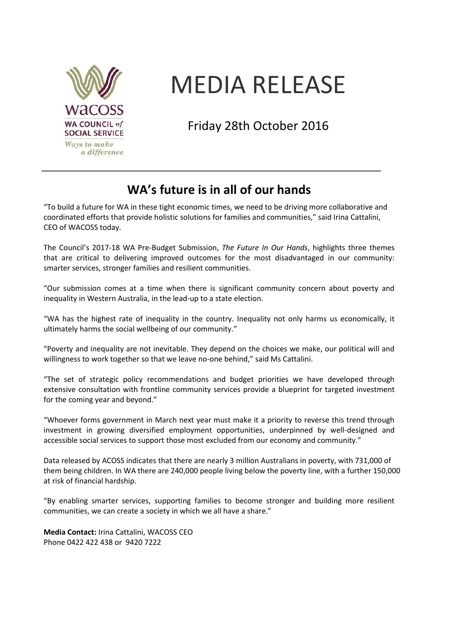

# MEDIA RELEASE

Friday 28th October 2016

# **WA's future is in all of our hands**

"To build a future for WA in these tight economic times, we need to be driving more collaborative and coordinated efforts that provide holistic solutions for families and communities," said Irina Cattalini, CEO of WACOSS today.

The Council's 2017-18 WA Pre-Budget Submission, *The Future In Our Hands*, highlights three themes that are critical to delivering improved outcomes for the most disadvantaged in our community: smarter services, stronger families and resilient communities.

"Our submission comes at a time when there is significant community concern about poverty and inequality in Western Australia, in the lead-up to a state election.

"WA has the highest rate of inequality in the country. Inequality not only harms us economically, it ultimately harms the social wellbeing of our community."

"Poverty and inequality are not inevitable. They depend on the choices we make, our political will and willingness to work together so that we leave no-one behind," said Ms Cattalini.

"The set of strategic policy recommendations and budget priorities we have developed through extensive consultation with frontline community services provide a blueprint for targeted investment for the coming year and beyond."

"Whoever forms government in March next year must make it a priority to reverse this trend through investment in growing diversified employment opportunities, underpinned by well-designed and accessible social services to support those most excluded from our economy and community."

Data released by ACOSS indicates that there are nearly 3 million Australians in poverty, with 731,000 of them being children. In WA there are 240,000 people living below the poverty line, with a further 150,000 at risk of financial hardship.

"By enabling smarter services, supporting families to become stronger and building more resilient communities, we can create a society in which we all have a share."

**Media Contact:** Irina Cattalini, WACOSS CEO Phone 0422 422 438 or 9420 7222